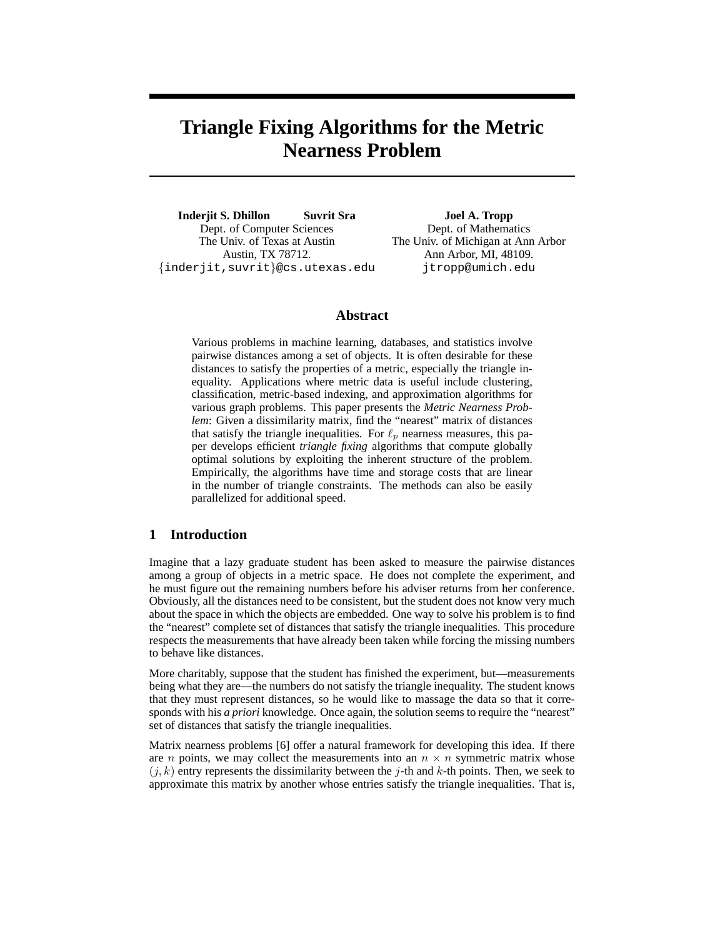# **Triangle Fixing Algorithms for the Metric Nearness Problem**

**Inderjit S. Dhillon Suvrit Sra** Dept. of Computer Sciences The Univ. of Texas at Austin Austin, TX 78712. {inderjit,suvrit}@cs.utexas.edu

**Joel A. Tropp** Dept. of Mathematics The Univ. of Michigan at Ann Arbor Ann Arbor, MI, 48109. jtropp@umich.edu

# **Abstract**

Various problems in machine learning, databases, and statistics involve pairwise distances among a set of objects. It is often desirable for these distances to satisfy the properties of a metric, especially the triangle inequality. Applications where metric data is useful include clustering, classification, metric-based indexing, and approximation algorithms for various graph problems. This paper presents the *Metric Nearness Problem*: Given a dissimilarity matrix, find the "nearest" matrix of distances that satisfy the triangle inequalities. For  $\ell_p$  nearness measures, this paper develops efficient *triangle fixing* algorithms that compute globally optimal solutions by exploiting the inherent structure of the problem. Empirically, the algorithms have time and storage costs that are linear in the number of triangle constraints. The methods can also be easily parallelized for additional speed.

# **1 Introduction**

Imagine that a lazy graduate student has been asked to measure the pairwise distances among a group of objects in a metric space. He does not complete the experiment, and he must figure out the remaining numbers before his adviser returns from her conference. Obviously, all the distances need to be consistent, but the student does not know very much about the space in which the objects are embedded. One way to solve his problem is to find the "nearest" complete set of distances that satisfy the triangle inequalities. This procedure respects the measurements that have already been taken while forcing the missing numbers to behave like distances.

More charitably, suppose that the student has finished the experiment, but—measurements being what they are—the numbers do not satisfy the triangle inequality. The student knows that they must represent distances, so he would like to massage the data so that it corresponds with his *a priori* knowledge. Once again, the solution seems to require the "nearest" set of distances that satisfy the triangle inequalities.

Matrix nearness problems [6] offer a natural framework for developing this idea. If there are *n* points, we may collect the measurements into an  $n \times n$  symmetric matrix whose  $(j, k)$  entry represents the dissimilarity between the j-th and k-th points. Then, we seek to approximate this matrix by another whose entries satisfy the triangle inequalities. That is,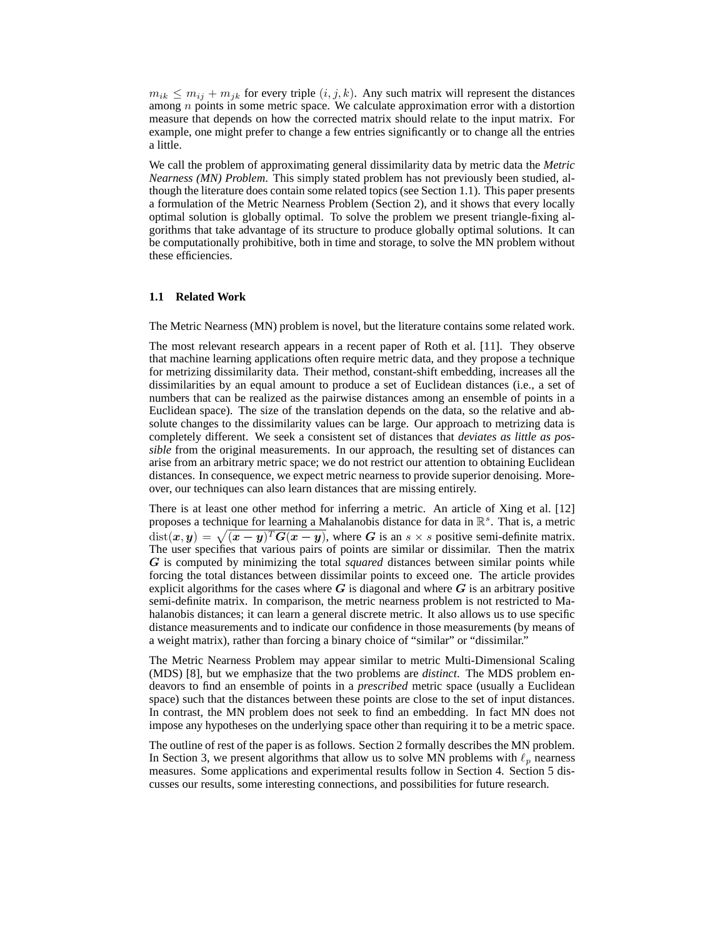$m_{ik} \leq m_{ij} + m_{jk}$  for every triple  $(i, j, k)$ . Any such matrix will represent the distances among  $n$  points in some metric space. We calculate approximation error with a distortion measure that depends on how the corrected matrix should relate to the input matrix. For example, one might prefer to change a few entries significantly or to change all the entries a little.

We call the problem of approximating general dissimilarity data by metric data the *Metric Nearness (MN) Problem*. This simply stated problem has not previously been studied, although the literature does contain some related topics (see Section 1.1). This paper presents a formulation of the Metric Nearness Problem (Section 2), and it shows that every locally optimal solution is globally optimal. To solve the problem we present triangle-fixing algorithms that take advantage of its structure to produce globally optimal solutions. It can be computationally prohibitive, both in time and storage, to solve the MN problem without these efficiencies.

#### **1.1 Related Work**

The Metric Nearness (MN) problem is novel, but the literature contains some related work.

The most relevant research appears in a recent paper of Roth et al. [11]. They observe that machine learning applications often require metric data, and they propose a technique for metrizing dissimilarity data. Their method, constant-shift embedding, increases all the dissimilarities by an equal amount to produce a set of Euclidean distances (i.e., a set of numbers that can be realized as the pairwise distances among an ensemble of points in a Euclidean space). The size of the translation depends on the data, so the relative and absolute changes to the dissimilarity values can be large. Our approach to metrizing data is completely different. We seek a consistent set of distances that *deviates as little as possible* from the original measurements. In our approach, the resulting set of distances can arise from an arbitrary metric space; we do not restrict our attention to obtaining Euclidean distances. In consequence, we expect metric nearness to provide superior denoising. Moreover, our techniques can also learn distances that are missing entirely.

There is at least one other method for inferring a metric. An article of Xing et al. [12] proposes a technique for learning a Mahalanobis distance for data in  $\mathbb{R}^s$ . That is, a metric  $dist(x, y) = \sqrt{(x - y)^T G(x - y)}$ , where G is an s × s positive semi-definite matrix. The user specifies that various pairs of points are similar or dissimilar. Then the matrix G is computed by minimizing the total *squared* distances between similar points while forcing the total distances between dissimilar points to exceed one. The article provides explicit algorithms for the cases where  $G$  is diagonal and where  $G$  is an arbitrary positive semi-definite matrix. In comparison, the metric nearness problem is not restricted to Mahalanobis distances; it can learn a general discrete metric. It also allows us to use specific distance measurements and to indicate our confidence in those measurements (by means of a weight matrix), rather than forcing a binary choice of "similar" or "dissimilar."

The Metric Nearness Problem may appear similar to metric Multi-Dimensional Scaling (MDS) [8], but we emphasize that the two problems are *distinct*. The MDS problem endeavors to find an ensemble of points in a *prescribed* metric space (usually a Euclidean space) such that the distances between these points are close to the set of input distances. In contrast, the MN problem does not seek to find an embedding. In fact MN does not impose any hypotheses on the underlying space other than requiring it to be a metric space.

The outline of rest of the paper is as follows. Section 2 formally describes the MN problem. In Section 3, we present algorithms that allow us to solve MN problems with  $\ell_p$  nearness measures. Some applications and experimental results follow in Section 4. Section 5 discusses our results, some interesting connections, and possibilities for future research.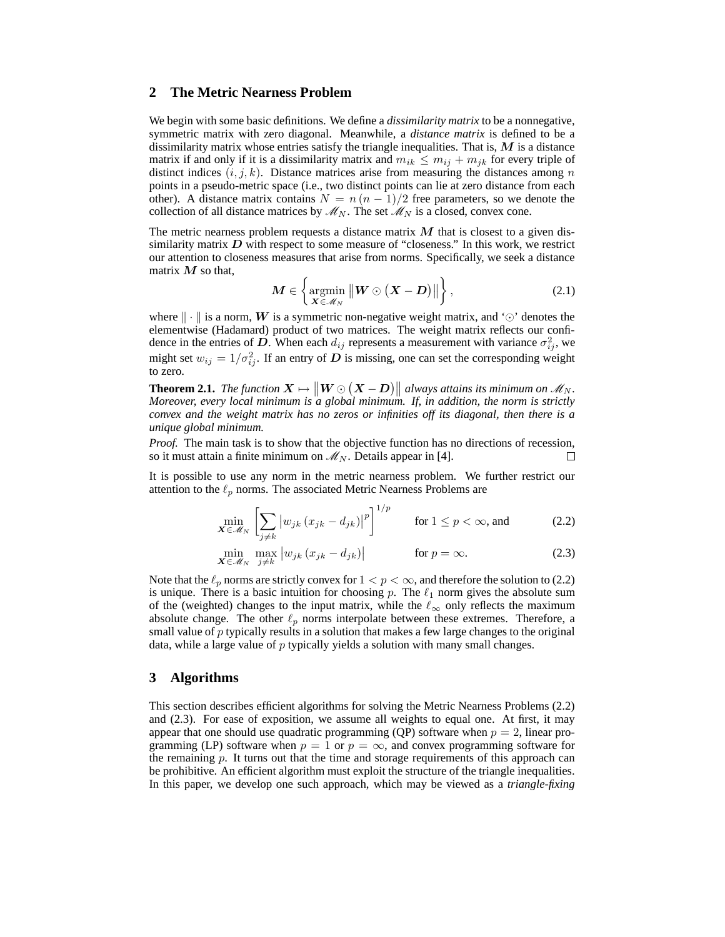# **2 The Metric Nearness Problem**

We begin with some basic definitions. We define a *dissimilarity matrix* to be a nonnegative, symmetric matrix with zero diagonal. Meanwhile, a *distance matrix* is defined to be a dissimilarity matrix whose entries satisfy the triangle inequalities. That is,  $M$  is a distance matrix if and only if it is a dissimilarity matrix and  $m_{ik} \leq m_{ij} + m_{jk}$  for every triple of distinct indices  $(i, j, k)$ . Distance matrices arise from measuring the distances among n points in a pseudo-metric space (i.e., two distinct points can lie at zero distance from each other). A distance matrix contains  $N = n(n-1)/2$  free parameters, so we denote the collection of all distance matrices by  $\mathcal{M}_N$ . The set  $\mathcal{M}_N$  is a closed, convex cone.

The metric nearness problem requests a distance matrix  $M$  that is closest to a given dissimilarity matrix  $D$  with respect to some measure of "closeness." In this work, we restrict our attention to closeness measures that arise from norms. Specifically, we seek a distance matrix  $M$  so that,

$$
\boldsymbol{M} \in \left\{ \operatorname*{argmin}_{\boldsymbol{X} \in \mathscr{M}_{N}} \|\boldsymbol{W} \odot (\boldsymbol{X} - \boldsymbol{D})\| \right\},\tag{2.1}
$$

where  $\| \cdot \|$  is a norm, W is a symmetric non-negative weight matrix, and ' $\odot$ ' denotes the elementwise (Hadamard) product of two matrices. The weight matrix reflects our confidence in the entries of D. When each  $d_{ij}$  represents a measurement with variance  $\sigma_{ij}^2$ , we might set  $w_{ij} = 1/\sigma_{ij}^2$ . If an entry of D is missing, one can set the corresponding weight to zero.

**Theorem 2.1.** *The function*  $X \mapsto ||W \odot (X - D)||$  *always attains its minimum on*  $M_N$ .<br>Managuan guarn local minimum is a slab of minimum *If*, in addition, the narm is strictly *Moreover, every local minimum is a global minimum. If, in addition, the norm is strictly convex and the weight matrix has no zeros or infinities off its diagonal, then there is a unique global minimum.*

*Proof.* The main task is to show that the objective function has no directions of recession, so it must attain a finite minimum on  $\mathcal{M}_N$ . Details appear in [4].  $\Box$ 

It is possible to use any norm in the metric nearness problem. We further restrict our attention to the  $\ell_p$  norms. The associated Metric Nearness Problems are

$$
\min_{\mathbf{X} \in \mathcal{M}_N} \left[ \sum_{j \neq k} \left| w_{jk} \left( x_{jk} - d_{jk} \right) \right|^p \right]^{1/p} \qquad \text{for } 1 \leq p < \infty \text{, and} \tag{2.2}
$$

$$
\min_{\mathbf{X} \in \mathcal{M}_N} \max_{j \neq k} |w_{jk} (x_{jk} - d_{jk})| \quad \text{for } p = \infty.
$$
 (2.3)

Note that the  $\ell_p$  norms are strictly convex for  $1 < p < \infty$ , and therefore the solution to (2.2) is unique. There is a basic intuition for choosing p. The  $\ell_1$  norm gives the absolute sum of the (weighted) changes to the input matrix, while the  $\ell_{\infty}$  only reflects the maximum absolute change. The other  $\ell_p$  norms interpolate between these extremes. Therefore, a small value of  $p$  typically results in a solution that makes a few large changes to the original data, while a large value of p typically yields a solution with many small changes.

# **3 Algorithms**

This section describes efficient algorithms for solving the Metric Nearness Problems (2.2) and (2.3). For ease of exposition, we assume all weights to equal one. At first, it may appear that one should use quadratic programming (QP) software when  $p = 2$ , linear programming (LP) software when  $p = 1$  or  $p = \infty$ , and convex programming software for the remaining  $p$ . It turns out that the time and storage requirements of this approach can be prohibitive. An efficient algorithm must exploit the structure of the triangle inequalities. In this paper, we develop one such approach, which may be viewed as a *triangle-fixing*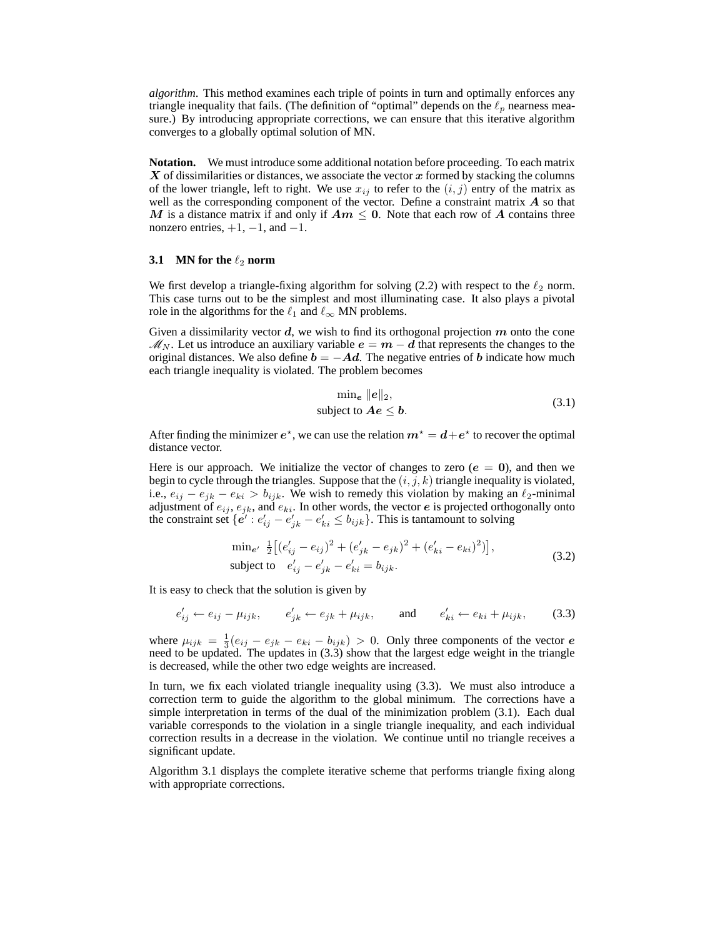*algorithm*. This method examines each triple of points in turn and optimally enforces any triangle inequality that fails. (The definition of "optimal" depends on the  $\ell_p$  nearness measure.) By introducing appropriate corrections, we can ensure that this iterative algorithm converges to a globally optimal solution of MN.

**Notation.** We must introduce some additional notation before proceeding. To each matrix  $X$  of dissimilarities or distances, we associate the vector  $x$  formed by stacking the columns of the lower triangle, left to right. We use  $x_{ij}$  to refer to the  $(i, j)$  entry of the matrix as well as the corresponding component of the vector. Define a constraint matrix  $\boldsymbol{A}$  so that M is a distance matrix if and only if  $Am \leq 0$ . Note that each row of A contains three nonzero entries,  $+1$ ,  $-1$ , and  $-1$ .

#### **3.1 MN** for the  $\ell_2$  norm

We first develop a triangle-fixing algorithm for solving (2.2) with respect to the  $\ell_2$  norm. This case turns out to be the simplest and most illuminating case. It also plays a pivotal role in the algorithms for the  $\ell_1$  and  $\ell_{\infty}$  MN problems.

Given a dissimilarity vector  $d$ , we wish to find its orthogonal projection  $m$  onto the cone  $\mathcal{M}_N$ . Let us introduce an auxiliary variable  $e = m - d$  that represents the changes to the original distances. We also define  $b = -Ad$ . The negative entries of b indicate how much each triangle inequality is violated. The problem becomes

$$
\min_{e} ||e||_2,
$$
  
subject to  $Ae \leq b$ . (3.1)

After finding the minimizer  $e^*$ , we can use the relation  $m^* = d + e^*$  to recover the optimal distance vector.

Here is our approach. We initialize the vector of changes to zero ( $e = 0$ ), and then we begin to cycle through the triangles. Suppose that the  $(i, j, k)$  triangle inequality is violated, i.e.,  $e_{ij} - e_{jk} - e_{ki} > b_{ijk}$ . We wish to remedy this violation by making an  $\ell_2$ -minimal adjustment of  $e_{ij}$ ,  $e_{jk}$ , and  $e_{ki}$ . In other words, the vector  $e$  is projected orthogonally onto the constraint set  $\{e' : e'_{ij} - e'_{jk} - e'_{ki} \le b_{ijk}\}\$ . This is tantamount to solving

$$
\min_{e'} \frac{1}{2} \left[ (e'_{ij} - e_{ij})^2 + (e'_{jk} - e_{jk})^2 + (e'_{ki} - e_{ki})^2) \right],
$$
\n
$$
\text{subject to} \quad e'_{ij} - e'_{jk} - e'_{ki} = b_{ijk}.
$$
\n
$$
(3.2)
$$

It is easy to check that the solution is given by

$$
e'_{ij} \leftarrow e_{ij} - \mu_{ijk}, \qquad e'_{jk} \leftarrow e_{jk} + \mu_{ijk}, \qquad \text{and} \qquad e'_{ki} \leftarrow e_{ki} + \mu_{ijk}, \tag{3.3}
$$

where  $\mu_{ijk} = \frac{1}{3}(e_{ij} - e_{jk} - e_{ki} - b_{ijk}) > 0$ . Only three components of the vector e need to be updated. The updates in (3.3) show that the largest edge weight in the triangle is decreased, while the other two edge weights are increased.

In turn, we fix each violated triangle inequality using (3.3). We must also introduce a correction term to guide the algorithm to the global minimum. The corrections have a simple interpretation in terms of the dual of the minimization problem (3.1). Each dual variable corresponds to the violation in a single triangle inequality, and each individual correction results in a decrease in the violation. We continue until no triangle receives a significant update.

Algorithm 3.1 displays the complete iterative scheme that performs triangle fixing along with appropriate corrections.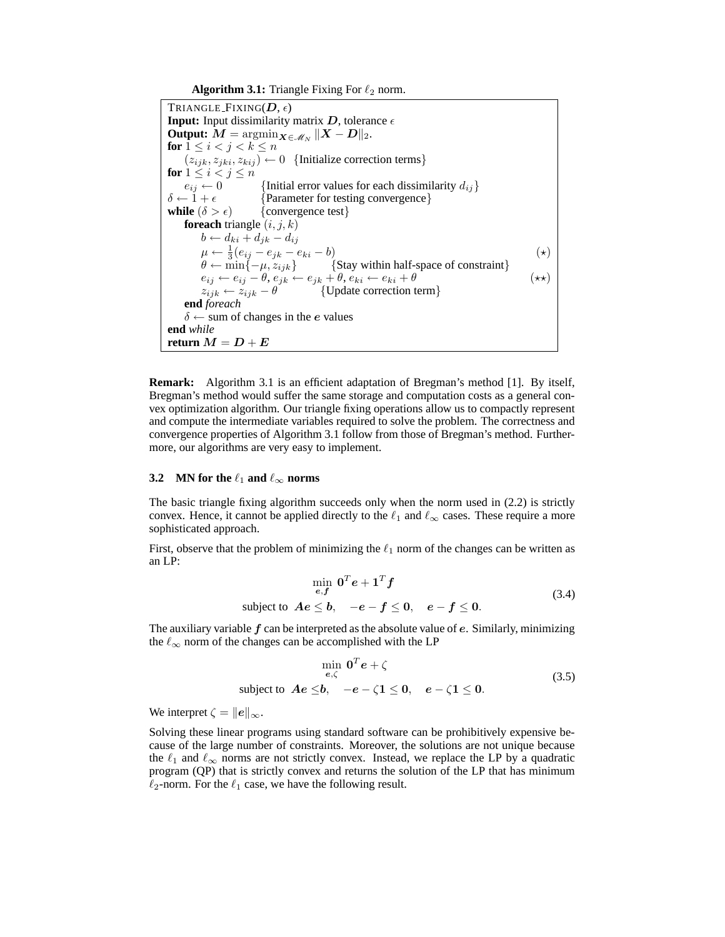**Algorithm 3.1:** Triangle Fixing For  $\ell_2$  norm.

TRIANGLE FIXING( $D, \epsilon$ ) **Input:** Input dissimilarity matrix  $D$ , tolerance  $\epsilon$ **Output:**  $\boldsymbol{M} = \operatorname{argmin}_{\boldsymbol{X} \in \mathscr{M}_N} \|\boldsymbol{X} - \boldsymbol{D}\|_2.$ **for**  $1 \leq i < j < k \leq n$  $(z_{ijk}, z_{jki}, z_{kij}) \leftarrow 0$  {Initialize correction terms} **for**  $1 \leq i < j \leq n$ <br> $e_{ij} \leftarrow 0$  $e_{ij} \leftarrow 0$  {Initial error values for each dissimilarity  $d_{ij}$ }<br> $\delta \leftarrow 1 + \epsilon$  {Parameter for testing convergence} {Parameter for testing convergence} **while**  $(\delta > \epsilon)$  {convergence test} **foreach** triangle  $(i, j, k)$  $b \leftarrow d_{ki} + d_{jk} - d_{ij}$  $\mu \leftarrow \frac{1}{3}(e_{ij} - e_{jk} - e_{ki} - b)$  (\*)  $\theta \leftarrow \min\{-\mu, z_{ijk}\}$  {Stay within half-space of constraint}  $e_{ij} \leftarrow e_{ij} - \theta, e_{jk} \leftarrow e_{jk} + \theta, e_{ki} \leftarrow e_{ki} + \theta$  (\*\*)  $z_{ijk} \leftarrow z_{ijk} - \theta$  {Update correction term} **end** *foreach*  $\delta \leftarrow$  sum of changes in the *e* values **end** *while* **return**  $M = D + E$ 

**Remark:** Algorithm 3.1 is an efficient adaptation of Bregman's method [1]. By itself, Bregman's method would suffer the same storage and computation costs as a general convex optimization algorithm. Our triangle fixing operations allow us to compactly represent and compute the intermediate variables required to solve the problem. The correctness and convergence properties of Algorithm 3.1 follow from those of Bregman's method. Furthermore, our algorithms are very easy to implement.

#### **3.2 MN** for the  $\ell_1$  **and**  $\ell_\infty$  **norms**

The basic triangle fixing algorithm succeeds only when the norm used in (2.2) is strictly convex. Hence, it cannot be applied directly to the  $\ell_1$  and  $\ell_{\infty}$  cases. These require a more sophisticated approach.

First, observe that the problem of minimizing the  $\ell_1$  norm of the changes can be written as an LP:

$$
\min_{e,f} \mathbf{0}^T e + \mathbf{1}^T f
$$
\nsubject to  $Ae \leq b$ ,  $-e - f \leq 0$ ,  $e - f \leq 0$ . (3.4)

The auxiliary variable  $f$  can be interpreted as the absolute value of  $e$ . Similarly, minimizing the  $\ell_{\infty}$  norm of the changes can be accomplished with the LP

$$
\min_{e,\zeta} \mathbf{0}^T e + \zeta
$$
\nsubject to  $Ae \leq b, \quad -e - \zeta \mathbf{1} \leq 0, \quad e - \zeta \mathbf{1} \leq 0.$  (3.5)

We interpret  $\zeta = ||e||_{\infty}$ .

Solving these linear programs using standard software can be prohibitively expensive because of the large number of constraints. Moreover, the solutions are not unique because the  $\ell_1$  and  $\ell_{\infty}$  norms are not strictly convex. Instead, we replace the LP by a quadratic program (QP) that is strictly convex and returns the solution of the LP that has minimum  $\ell_2$ -norm. For the  $\ell_1$  case, we have the following result.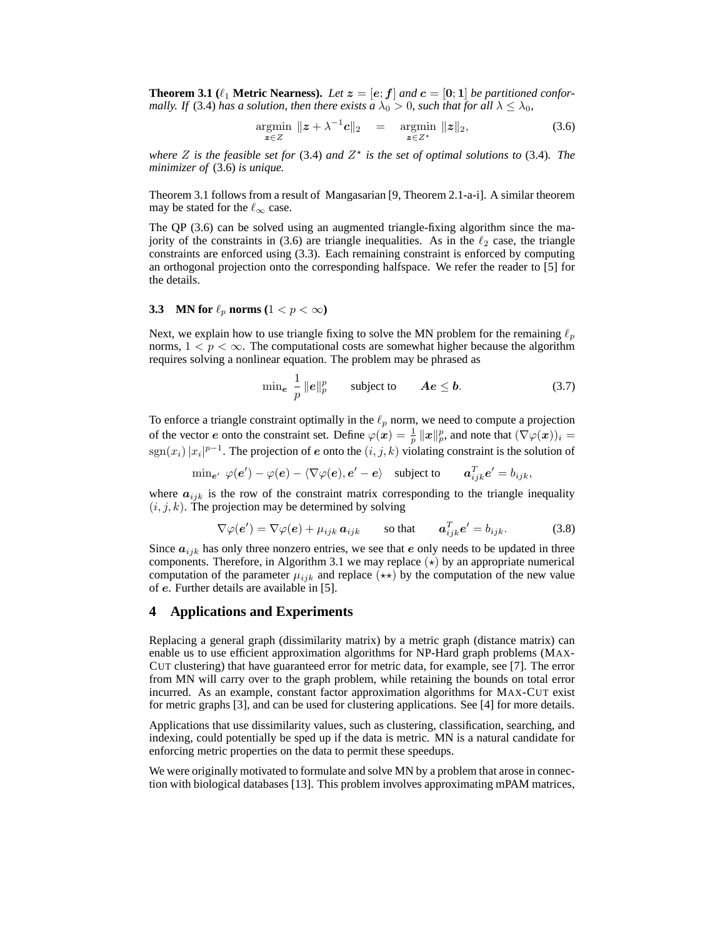**Theorem 3.1** ( $\ell_1$  **Metric Nearness).** Let  $z = [e; f]$  and  $c = [0; 1]$  be partitioned confor*mally. If* (3.4) *has a solution, then there exists*  $a \lambda_0 > 0$ *, such that for all*  $\lambda \leq \lambda_0$ *,* 

$$
\underset{\boldsymbol{z}\in Z}{\operatorname{argmin}} \ \|\boldsymbol{z} + \lambda^{-1}\boldsymbol{c}\|_2 \quad = \quad \underset{\boldsymbol{z}\in Z^*}{\operatorname{argmin}} \ \|\boldsymbol{z}\|_2,\tag{3.6}
$$

*where*  $Z$  *is the feasible set for* (3.4) *and*  $Z^*$  *is the set of optimal solutions to* (3.4)*. The minimizer of* (3.6) *is unique.*

Theorem 3.1 follows from a result of Mangasarian [9, Theorem 2.1-a-i]. A similar theorem may be stated for the  $\ell_{\infty}$  case.

The QP (3.6) can be solved using an augmented triangle-fixing algorithm since the majority of the constraints in (3.6) are triangle inequalities. As in the  $\ell_2$  case, the triangle constraints are enforced using (3.3). Each remaining constraint is enforced by computing an orthogonal projection onto the corresponding halfspace. We refer the reader to [5] for the details.

## **3.3 MN** for  $\ell_p$  norms  $(1 < p < \infty)$

Next, we explain how to use triangle fixing to solve the MN problem for the remaining  $\ell_p$ norms,  $1 < p < \infty$ . The computational costs are somewhat higher because the algorithm requires solving a nonlinear equation. The problem may be phrased as

$$
\min_{\mathbf{e}} \frac{1}{p} ||\mathbf{e}||_p^p \qquad \text{subject to} \qquad \mathbf{A}\mathbf{e} \le \mathbf{b}.\tag{3.7}
$$

To enforce a triangle constraint optimally in the  $\ell_p$  norm, we need to compute a projection of the vector e onto the constraint set. Define  $\varphi(x) = \frac{1}{n}$  $\frac{1}{p}\,\| \boldsymbol{x} \|_p^p,$  and note that  $(\nabla\varphi(\boldsymbol{x}))_i =$  $\text{sgn}(x_i)|x_i|^{p-1}$ . The projection of e onto the  $(i, j, k)$  violating constraint is the solution of

$$
\min_{\mathbf{e}'} \varphi(\mathbf{e}') - \varphi(\mathbf{e}) - \langle \nabla \varphi(\mathbf{e}), \mathbf{e}' - \mathbf{e} \rangle \quad \text{subject to} \qquad \mathbf{a}_{ijk}^T \mathbf{e}' = b_{ijk},
$$

where  $a_{ijk}$  is the row of the constraint matrix corresponding to the triangle inequality  $(i, j, k)$ . The projection may be determined by solving

$$
\nabla \varphi(\mathbf{e}') = \nabla \varphi(\mathbf{e}) + \mu_{ijk} \mathbf{a}_{ijk} \qquad \text{so that} \qquad \mathbf{a}_{ijk}^T \mathbf{e}' = b_{ijk}. \tag{3.8}
$$

Since  $a_{ijk}$  has only three nonzero entries, we see that e only needs to be updated in three components. Therefore, in Algorithm 3.1 we may replace  $(\star)$  by an appropriate numerical computation of the parameter  $\mu_{ijk}$  and replace  $(\star \star)$  by the computation of the new value of e. Further details are available in [5].

## **4 Applications and Experiments**

Replacing a general graph (dissimilarity matrix) by a metric graph (distance matrix) can enable us to use efficient approximation algorithms for NP-Hard graph problems (MAX-CUT clustering) that have guaranteed error for metric data, for example, see [7]. The error from MN will carry over to the graph problem, while retaining the bounds on total error incurred. As an example, constant factor approximation algorithms for MAX-CUT exist for metric graphs [3], and can be used for clustering applications. See [4] for more details.

Applications that use dissimilarity values, such as clustering, classification, searching, and indexing, could potentially be sped up if the data is metric. MN is a natural candidate for enforcing metric properties on the data to permit these speedups.

We were originally motivated to formulate and solve MN by a problem that arose in connection with biological databases [13]. This problem involves approximating mPAM matrices,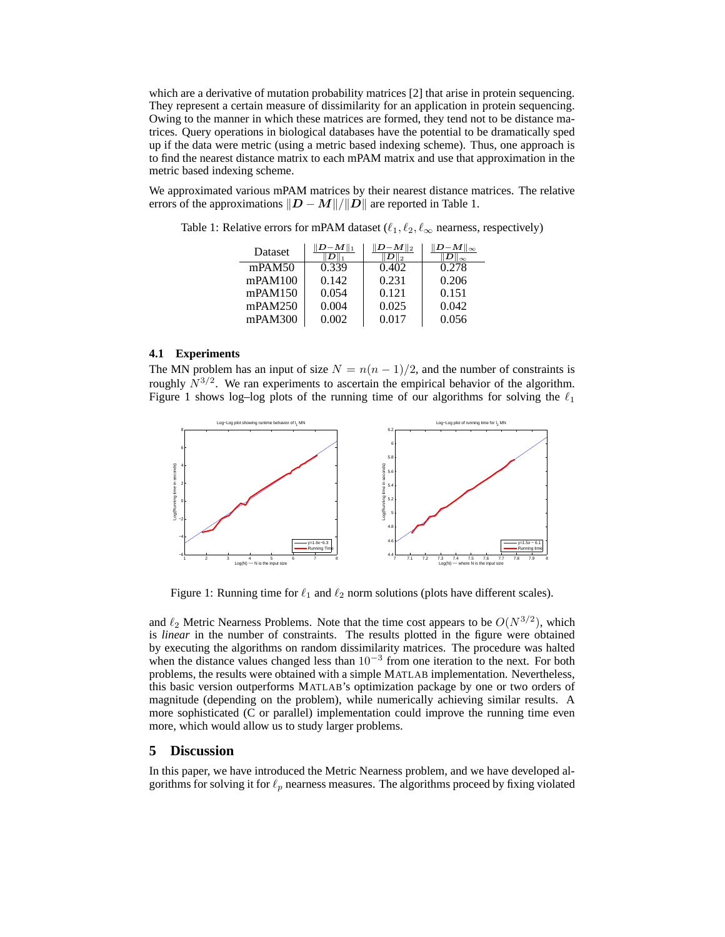which are a derivative of mutation probability matrices [2] that arise in protein sequencing. They represent a certain measure of dissimilarity for an application in protein sequencing. Owing to the manner in which these matrices are formed, they tend not to be distance matrices. Query operations in biological databases have the potential to be dramatically sped up if the data were metric (using a metric based indexing scheme). Thus, one approach is to find the nearest distance matrix to each mPAM matrix and use that approximation in the metric based indexing scheme.

We approximated various mPAM matrices by their nearest distance matrices. The relative errors of the approximations  $||D - M||/||D||$  are reported in Table 1.

| Dataset | $-M\ _1$ | $D - M \parallel_2$ | $\ D{-}M\ _\infty$ |
|---------|----------|---------------------|--------------------|
| mPAM50  | 0.339    | 0.402               | 0.278              |
| mPAM100 | 0.142    | 0.231               | 0.206              |
| mPAM150 | 0.054    | 0.121               | 0.151              |
| mPAM250 | 0.004    | 0.025               | 0.042              |
| mPAM300 | 0.002    | 0.017               | 0.056              |

Table 1: Relative errors for mPAM dataset ( $\ell_1, \ell_2, \ell_\infty$  nearness, respectively)

## **4.1 Experiments**

The MN problem has an input of size  $N = n(n - 1)/2$ , and the number of constraints is roughly  $N^{3/2}$ . We ran experiments to ascertain the empirical behavior of the algorithm. Figure 1 shows log–log plots of the running time of our algorithms for solving the  $\ell_1$ 



Figure 1: Running time for  $\ell_1$  and  $\ell_2$  norm solutions (plots have different scales).

and  $\ell_2$  Metric Nearness Problems. Note that the time cost appears to be  $O(N^{3/2})$ , which is *linear* in the number of constraints. The results plotted in the figure were obtained by executing the algorithms on random dissimilarity matrices. The procedure was halted when the distance values changed less than  $10^{-3}$  from one iteration to the next. For both problems, the results were obtained with a simple MATLAB implementation. Nevertheless, this basic version outperforms MATLAB's optimization package by one or two orders of magnitude (depending on the problem), while numerically achieving similar results. A more sophisticated (C or parallel) implementation could improve the running time even more, which would allow us to study larger problems.

## **5 Discussion**

In this paper, we have introduced the Metric Nearness problem, and we have developed algorithms for solving it for  $\ell_p$  nearness measures. The algorithms proceed by fixing violated